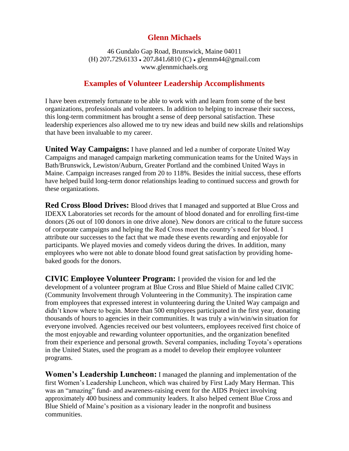## **Glenn Michaels**

46 Gundalo Gap Road, Brunswick, Maine 04011 (H) 207**.**729**.**6133 ● 207**.**841**.**6810 (C) ● glennm44@gmail.com www.glennmichaels.org

## **Examples of Volunteer Leadership Accomplishments**

I have been extremely fortunate to be able to work with and learn from some of the best organizations, professionals and volunteers. In addition to helping to increase their success, this long-term commitment has brought a sense of deep personal satisfaction. These leadership experiences also allowed me to try new ideas and build new skills and relationships that have been invaluable to my career.

**United Way Campaigns:** I have planned and led a number of corporate United Way Campaigns and managed campaign marketing communication teams for the United Ways in Bath/Brunswick, Lewiston/Auburn, Greater Portland and the combined United Ways in Maine. Campaign increases ranged from 20 to 118%. Besides the initial success, these efforts have helped build long-term donor relationships leading to continued success and growth for these organizations.

**Red Cross Blood Drives:** Blood drives that I managed and supported at Blue Cross and IDEXX Laboratories set records for the amount of blood donated and for enrolling first-time donors (26 out of 100 donors in one drive alone). New donors are critical to the future success of corporate campaigns and helping the Red Cross meet the country's need for blood. I attribute our successes to the fact that we made these events rewarding and enjoyable for participants. We played movies and comedy videos during the drives. In addition, many employees who were not able to donate blood found great satisfaction by providing homebaked goods for the donors.

**CIVIC Employee Volunteer Program:** I provided the vision for and led the development of a volunteer program at Blue Cross and Blue Shield of Maine called CIVIC (Community Involvement through Volunteering in the Community). The inspiration came from employees that expressed interest in volunteering during the United Way campaign and didn't know where to begin. More than 500 employees participated in the first year, donating thousands of hours to agencies in their communities. It was truly a win/win/win situation for everyone involved. Agencies received our best volunteers, employees received first choice of the most enjoyable and rewarding volunteer opportunities, and the organization benefited from their experience and personal growth. Several companies, including Toyota's operations in the United States, used the program as a model to develop their employee volunteer programs.

**Women's Leadership Luncheon:** I managed the planning and implementation of the first Women's Leadership Luncheon, which was chaired by First Lady Mary Herman. This was an "amazing" fund- and awareness-raising event for the AIDS Project involving approximately 400 business and community leaders. It also helped cement Blue Cross and Blue Shield of Maine's position as a visionary leader in the nonprofit and business communities.